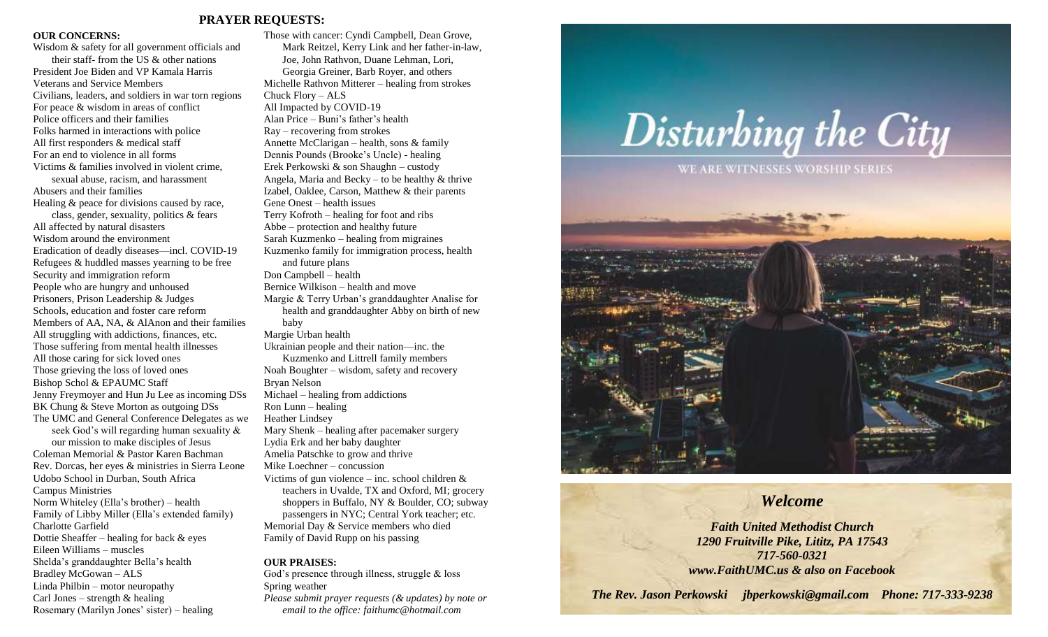#### **PRAYER REQUESTS:**

#### **OUR CONCERNS:**

Wisdom & safety for all government officials and their staff- from the US & other nations President Joe Biden and VP Kamala Harris Veterans and Service Members Civilians, leaders, and soldiers in war torn regions For peace & wisdom in areas of conflict Police officers and their families Folks harmed in interactions with police All first responders & medical staff For an end to violence in all forms Victims & families involved in violent crime, sexual abuse, racism, and harassment Abusers and their families Healing & peace for divisions caused by race, class, gender, sexuality, politics & fears All affected by natural disasters Wisdom around the environment Eradication of deadly diseases—incl. COVID-19 Refugees & huddled masses yearning to be free Security and immigration reform People who are hungry and unhoused Prisoners, Prison Leadership & Judges Schools, education and foster care reform Members of AA, NA, & AlAnon and their families All struggling with addictions, finances, etc. Those suffering from mental health illnesses All those caring for sick loved ones Those grieving the loss of loved ones Bishop Schol & EPAUMC Staff Jenny Freymoyer and Hun Ju Lee as incoming DSs BK Chung & Steve Morton as outgoing DSs The UMC and General Conference Delegates as we seek God's will regarding human sexuality & our mission to make disciples of Jesus Coleman Memorial & Pastor Karen Bachman Rev. Dorcas, her eyes & ministries in Sierra Leone Udobo School in Durban, South Africa Campus Ministries Norm Whiteley (Ella's brother) – health Family of Libby Miller (Ella's extended family) Charlotte Garfield Dottie Sheaffer – healing for back  $\&$  eyes Eileen Williams – muscles Shelda's granddaughter Bella's health Bradley McGowan – ALS Linda Philbin – motor neuropathy Carl Jones – strength  $&$  healing Rosemary (Marilyn Jones' sister) – healing

Those with cancer: Cyndi Campbell, Dean Grove, Mark Reitzel, Kerry Link and her father-in-law, Joe, John Rathvon, Duane Lehman, Lori, Georgia Greiner, Barb Royer, and others Michelle Rathvon Mitterer – healing from strokes Chuck Flory – ALS All Impacted by COVID-19 Alan Price – Buni's father's health Ray – recovering from strokes Annette McClarigan – health, sons & family Dennis Pounds (Brooke's Uncle) - healing Erek Perkowski & son Shaughn – custody Angela, Maria and Becky – to be healthy  $&$  thrive Izabel, Oaklee, Carson, Matthew & their parents Gene Onest – health issues Terry Kofroth – healing for foot and ribs Abbe – protection and healthy future Sarah Kuzmenko – healing from migraines Kuzmenko family for immigration process, health and future plans Don Campbell – health Bernice Wilkison – health and move Margie & Terry Urban's granddaughter Analise for health and granddaughter Abby on birth of new baby Margie Urban health Ukrainian people and their nation—inc. the Kuzmenko and Littrell family members Noah Boughter – wisdom, safety and recovery Bryan Nelson Michael – healing from addictions Ron Lunn – healing Heather Lindsey Mary Shenk – healing after pacemaker surgery Lydia Erk and her baby daughter Amelia Patschke to grow and thrive Mike Loechner – concussion Victims of gun violence – inc. school children  $\&$ teachers in Uvalde, TX and Oxford, MI; grocery shoppers in Buffalo, NY & Boulder, CO; subway passengers in NYC; Central York teacher; etc. Memorial Day & Service members who died Family of David Rupp on his passing **OUR PRAISES:**

God's presence through illness, struggle & loss Spring weather *Please submit prayer requests (& updates) by note or* 

*email to the office: faithumc@hotmail.com*



## *Welcome*

*Faith United Methodist Church 1290 Fruitville Pike, Lititz, PA 17543 717-560-0321 www.FaithUMC.us & also on Facebook*

*The Rev. Jason Perkowski jbperkowski@gmail.com Phone: 717-333-9238*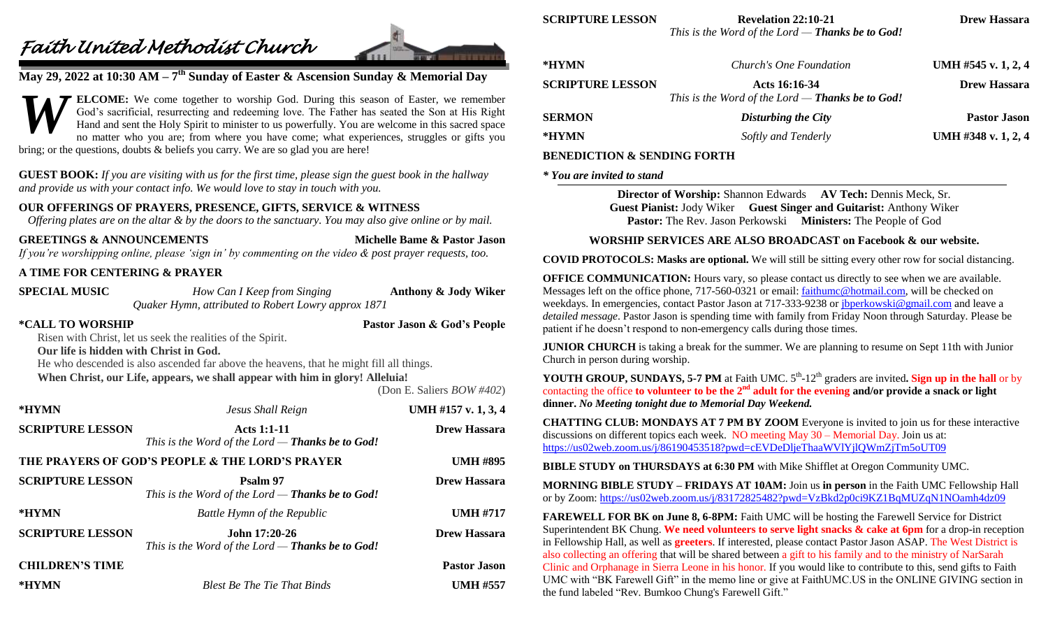# *Faith United Methodist Church*



# **May 29, 2022 at 10:30 AM – 7 th Sunday of Easter & Ascension Sunday & Memorial Day**

**ELCOME:** We come together to worship God. During this season of Easter, we remember God's sacrificial, resurrecting and redeeming love. The Father has seated the Son at His Right Hand and sent the Holy Spirit to minister to us powerfully. You are welcome in this sacred space no matter who you are; from where you have come; what experiences, struggles or gifts you bring; or the questions, doubts & beliefs you carry. We are so glad you are here! *W*

**GUEST BOOK:** *If you are visiting with us for the first time, please sign the guest book in the hallway and provide us with your contact info. We would love to stay in touch with you.*

### **OUR OFFERINGS OF PRAYERS, PRESENCE, GIFTS, SERVICE & WITNESS**

*Offering plates are on the altar & by the doors to the sanctuary. You may also give online or by mail.*

**GREETINGS & ANNOUNCEMENTS Michelle Bame & Pastor Jason**

*If you're worshipping online, please 'sign in' by commenting on the video & post prayer requests, too.*

### **A TIME FOR CENTERING & PRAYER**

| <b>SPECIAL MUSIC</b>                                                                                                                                                                                                                                                                                                                                                  | How Can I Keep from Singing<br>Quaker Hymn, attributed to Robert Lowry approx 1871 | Anthony & Jody Wiker  |
|-----------------------------------------------------------------------------------------------------------------------------------------------------------------------------------------------------------------------------------------------------------------------------------------------------------------------------------------------------------------------|------------------------------------------------------------------------------------|-----------------------|
| *CALL TO WORSHIP<br>Pastor Jason & God's People<br>Risen with Christ, let us seek the realities of the Spirit.<br>Our life is hidden with Christ in God.<br>He who descended is also ascended far above the heavens, that he might fill all things.<br>When Christ, our Life, appears, we shall appear with him in glory! Alleluia!<br>(Don E. Saliers $BOW \# 402$ ) |                                                                                    |                       |
| *HYMN                                                                                                                                                                                                                                                                                                                                                                 | Jesus Shall Reign                                                                  | UMH #157 v. $1, 3, 4$ |
| <b>SCRIPTURE LESSON</b>                                                                                                                                                                                                                                                                                                                                               | <b>Acts 1:1-11</b><br>This is the Word of the Lord $-$ Thanks be to God!           | <b>Drew Hassara</b>   |
|                                                                                                                                                                                                                                                                                                                                                                       | THE PRAYERS OF GOD'S PEOPLE & THE LORD'S PRAYER                                    | <b>UMH #895</b>       |
| <b>SCRIPTURE LESSON</b>                                                                                                                                                                                                                                                                                                                                               | Psalm 97<br>This is the Word of the Lord $-$ Thanks be to God!                     | <b>Drew Hassara</b>   |
| *HYMN                                                                                                                                                                                                                                                                                                                                                                 | <b>Battle Hymn of the Republic</b>                                                 | <b>UMH #717</b>       |
| <b>SCRIPTURE LESSON</b>                                                                                                                                                                                                                                                                                                                                               | John 17:20-26<br>This is the Word of the Lord $-$ Thanks be to God!                | <b>Drew Hassara</b>   |
| <b>CHILDREN'S TIME</b>                                                                                                                                                                                                                                                                                                                                                |                                                                                    | <b>Pastor Jason</b>   |
| *HYMN                                                                                                                                                                                                                                                                                                                                                                 | <b>Blest Be The Tie That Binds</b>                                                 | <b>UMH #557</b>       |

**SCRIPTURE LESSON Revelation 22:10-21 Drew Hassara**

*This is the Word of the Lord — Thanks be to God!*

| *HYMN                   | Church's One Foundation                                                  | UMH #545 v. $1, 2, 4$ |
|-------------------------|--------------------------------------------------------------------------|-----------------------|
| <b>SCRIPTURE LESSON</b> | Acts 16:16-34<br>This is the Word of the Lord — <b>Thanks be to God!</b> | <b>Drew Hassara</b>   |
| <b>SERMON</b>           | Disturbing the City                                                      | <b>Pastor Jason</b>   |
| *HYMN                   | Softly and Tenderly                                                      | UMH #348 v. 1, 2, 4   |

#### **BENEDICTION & SENDING FORTH**

#### *\* You are invited to stand*

**Director of Worship:** Shannon Edwards **AV Tech:** Dennis Meck, Sr. **Guest Pianist:** Jody Wiker **Guest Singer and Guitarist:** Anthony Wiker **Pastor:** The Rev. Jason Perkowski **Ministers:** The People of God

#### **WORSHIP SERVICES ARE ALSO BROADCAST on Facebook & our website.**

**COVID PROTOCOLS: Masks are optional.** We will still be sitting every other row for social distancing.

**OFFICE COMMUNICATION:** Hours vary, so please contact us directly to see when we are available. Messages left on the office phone, 717-560-0321 or email: [faithumc@hotmail.com,](mailto:faithumc@hotmail.com) will be checked on weekdays. In emergencies, contact Pastor Jason at 717-333-9238 or [jbperkowski@gmail.com](mailto:jbperkowski@gmail.com) and leave a *detailed message*. Pastor Jason is spending time with family from Friday Noon through Saturday. Please be patient if he doesn't respond to non-emergency calls during those times.

**JUNIOR CHURCH** is taking a break for the summer. We are planning to resume on Sept 11th with Junior Church in person during worship.

**YOUTH GROUP, SUNDAYS, 5-7 PM** at Faith UMC.  $5<sup>th</sup>$ -12<sup>th</sup> graders are invited. Sign up in the hall or by contacting the office **to volunteer to be the 2<sup>nd</sup> adult for the evening and/or provide a snack or light dinner.** *No Meeting tonight due to Memorial Day Weekend.*

**CHATTING CLUB: MONDAYS AT 7 PM BY ZOOM** Everyone is invited to join us for these interactive discussions on different topics each week. NO meeting May 30 – Memorial Day. Join us at: <https://us02web.zoom.us/j/86190453518?pwd=cEVDeDljeThaaWVlYjlQWmZjTm5oUT09>

**BIBLE STUDY on THURSDAYS at 6:30 PM** with Mike Shifflet at Oregon Community UMC.

**MORNING BIBLE STUDY – FRIDAYS AT 10AM:** Join us **in person** in the Faith UMC Fellowship Hall or by Zoom: <https://us02web.zoom.us/j/83172825482?pwd=VzBkd2p0ci9KZ1BqMUZqN1NOamh4dz09>

FAREWELL FOR BK on June 8, 6-8PM: Faith UMC will be hosting the Farewell Service for District Superintendent BK Chung. **We need volunteers to serve light snacks & cake at 6pm** for a drop-in reception in Fellowship Hall, as well as **greeters**. If interested, please contact Pastor Jason ASAP. The West District is also collecting an offering that will be shared between a gift to his family and to the ministry of NarSarah Clinic and Orphanage in Sierra Leone in his honor. If you would like to contribute to this, send gifts to Faith UMC with "BK Farewell Gift" in the memo line or give at FaithUMC.US in the ONLINE GIVING section in the fund labeled "Rev. Bumkoo Chung's Farewell Gift."